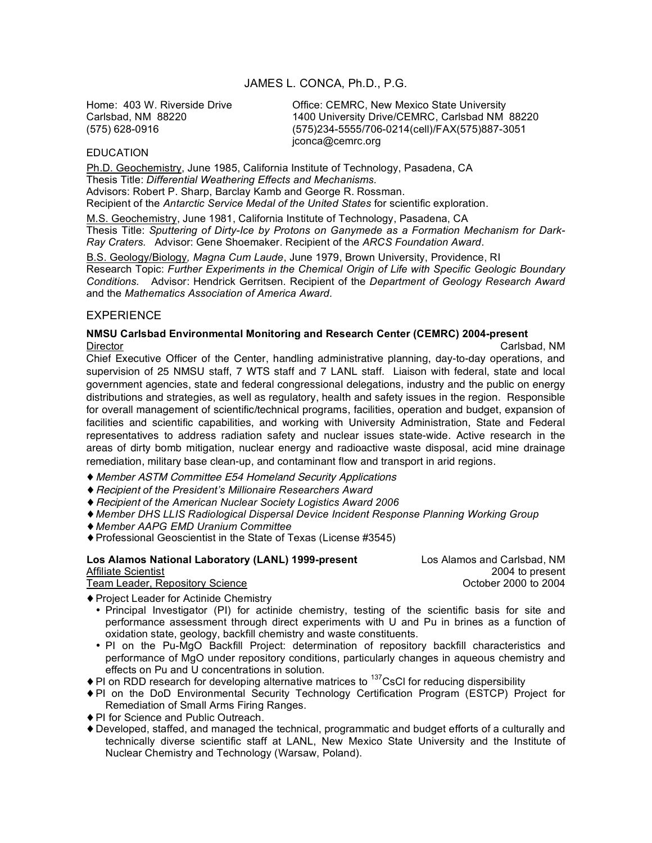## JAMES L. CONCA, Ph.D., P.G.

Home: 403 W. Riverside Drive **CHACENACES Office: CEMRC, New Mexico State University**<br>Carlsbad, NM 88220 **Carlsbad NM** Carlsbad NM 1400 University Drive/CEMRC, Carlsbad NM 88220 (575) 628-0916 (575)234-5555/706-0214(cell)/FAX(575)887-3051 jconca@cemrc.org

#### **EDUCATION**

Ph.D. Geochemistry, June 1985, California Institute of Technology, Pasadena, CA Thesis Title: *Differential Weathering Effects and Mechanisms.* Advisors: Robert P. Sharp, Barclay Kamb and George R. Rossman. Recipient of the *Antarctic Service Medal of the United States* for scientific exploration.

M.S. Geochemistry, June 1981, California Institute of Technology, Pasadena, CA Thesis Title: *Sputtering of Dirty-Ice by Protons on Ganymede as a Formation Mechanism for Dark-Ray Craters.* Advisor: Gene Shoemaker. Recipient of the *ARCS Foundation Award*.

B.S. Geology/Biology*, Magna Cum Laude*, June 1979, Brown University, Providence, RI Research Topic: *Further Experiments in the Chemical Origin of Life with Specific Geologic Boundary Conditions.* Advisor: Hendrick Gerritsen. Recipient of the *Department of Geology Research Award* and the *Mathematics Association of America Award.*

## EXPERIENCE

#### **NMSU Carlsbad Environmental Monitoring and Research Center (CEMRC) 2004-present** Director Carlsbad, NM

Chief Executive Officer of the Center, handling administrative planning, day-to-day operations, and supervision of 25 NMSU staff, 7 WTS staff and 7 LANL staff. Liaison with federal, state and local government agencies, state and federal congressional delegations, industry and the public on energy distributions and strategies, as well as regulatory, health and safety issues in the region. Responsible for overall management of scientific/technical programs, facilities, operation and budget, expansion of facilities and scientific capabilities, and working with University Administration, State and Federal representatives to address radiation safety and nuclear issues state-wide. Active research in the areas of dirty bomb mitigation, nuclear energy and radioactive waste disposal, acid mine drainage remediation, military base clean-up, and contaminant flow and transport in arid regions.

- ♦ Member ASTM Committee E54 Homeland Security Applications
- ♦Recipient *of the President's Millionaire Researchers Award*
- ♦Recipient *of the American Nuclear Society Logistics Award 2006*
- ♦*Member DHS LLIS Radiological Dispersal Device Incident Response Planning Working Group*
- ♦*Member AAPG EMD Uranium Committee*
- ♦Professional Geoscientist in the State of Texas (License #3545)

## **Los Alamos National Laboratory (LANL) 1999-present** Los Alamos and Carlsbad, NM Affiliate Scientist 2004 to present Team Leader, Repository Science

- ♦Project Leader for Actinide Chemistry
	- Principal Investigator (PI) for actinide chemistry, testing of the scientific basis for site and performance assessment through direct experiments with U and Pu in brines as a function of oxidation state, geology, backfill chemistry and waste constituents.
	- PI on the Pu-MgO Backfill Project: determination of repository backfill characteristics and performance of MgO under repository conditions, particularly changes in aqueous chemistry and effects on Pu and U concentrations in solution.
- $\triangle$  PI on RDD research for developing alternative matrices to <sup>137</sup>CsCI for reducing dispersibility
- ♦PI on the DoD Environmental Security Technology Certification Program (ESTCP) Project for Remediation of Small Arms Firing Ranges.
- ♦PI for Science and Public Outreach.
- ♦Developed, staffed, and managed the technical, programmatic and budget efforts of a culturally and technically diverse scientific staff at LANL, New Mexico State University and the Institute of Nuclear Chemistry and Technology (Warsaw, Poland).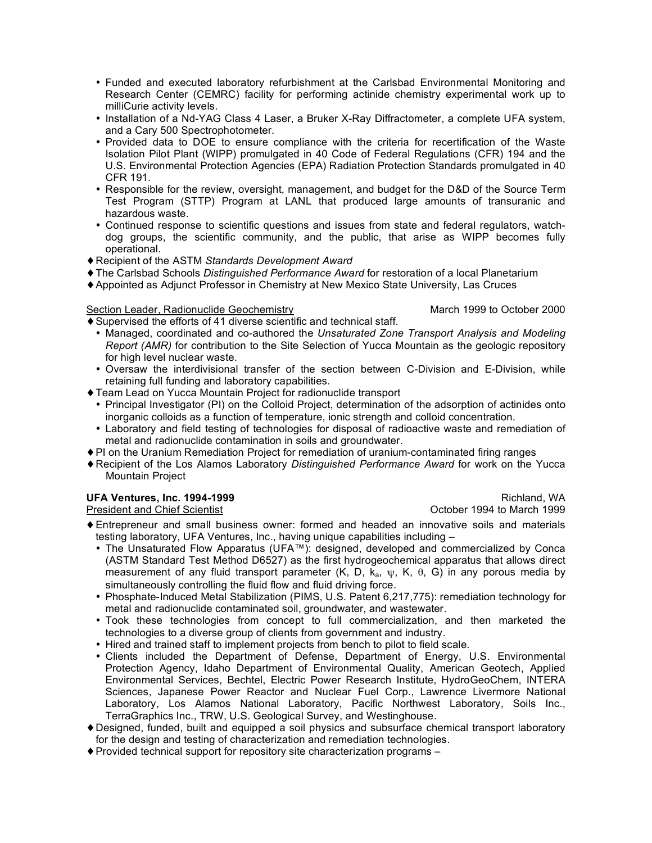- Funded and executed laboratory refurbishment at the Carlsbad Environmental Monitoring and Research Center (CEMRC) facility for performing actinide chemistry experimental work up to milliCurie activity levels.
- Installation of a Nd-YAG Class 4 Laser, a Bruker X-Ray Diffractometer, a complete UFA system, and a Cary 500 Spectrophotometer.
- Provided data to DOE to ensure compliance with the criteria for recertification of the Waste Isolation Pilot Plant (WIPP) promulgated in 40 Code of Federal Regulations (CFR) 194 and the U.S. Environmental Protection Agencies (EPA) Radiation Protection Standards promulgated in 40 CFR 191.
- Responsible for the review, oversight, management, and budget for the D&D of the Source Term Test Program (STTP) Program at LANL that produced large amounts of transuranic and hazardous waste.
- Continued response to scientific questions and issues from state and federal regulators, watchdog groups, the scientific community, and the public, that arise as WIPP becomes fully operational.
- ♦Recipient of the ASTM *Standards Development Award*
- ♦The Carlsbad Schools *Distinguished Performance Award* for restoration of a local Planetarium
- ♦Appointed as Adjunct Professor in Chemistry at New Mexico State University, Las Cruces

Section Leader, Radionuclide Geochemistry March 1999 to October 2000

- ♦Supervised the efforts of 41 diverse scientific and technical staff. • Managed, coordinated and co-authored the *Unsaturated Zone Transport Analysis and Modeling*
	- *Report (AMR)* for contribution to the Site Selection of Yucca Mountain as the geologic repository for high level nuclear waste.
	- Oversaw the interdivisional transfer of the section between C-Division and E-Division, while retaining full funding and laboratory capabilities.
- ♦Team Lead on Yucca Mountain Project for radionuclide transport
	- Principal Investigator (PI) on the Colloid Project, determination of the adsorption of actinides onto inorganic colloids as a function of temperature, ionic strength and colloid concentration.
	- Laboratory and field testing of technologies for disposal of radioactive waste and remediation of metal and radionuclide contamination in soils and groundwater.
- ♦PI on the Uranium Remediation Project for remediation of uranium-contaminated firing ranges
- ♦Recipient of the Los Alamos Laboratory *Distinguished Performance Award* for work on the Yucca Mountain Project

# **UFA Ventures, Inc. 1994-1999** Richland, WA

President and Chief Scientist October 1994 to March 1999

- ♦Entrepreneur and small business owner: formed and headed an innovative soils and materials testing laboratory, UFA Ventures, Inc., having unique capabilities including –
	- The Unsaturated Flow Apparatus (UFA™): designed, developed and commercialized by Conca (ASTM Standard Test Method D6527) as the first hydrogeochemical apparatus that allows direct measurement of any fluid transport parameter (K, D,  $k_a$ ,  $\psi$ , K,  $\theta$ , G) in any porous media by simultaneously controlling the fluid flow and fluid driving force.
	- Phosphate-Induced Metal Stabilization (PIMS, U.S. Patent 6,217,775): remediation technology for metal and radionuclide contaminated soil, groundwater, and wastewater.
	- Took these technologies from concept to full commercialization, and then marketed the technologies to a diverse group of clients from government and industry.
	- Hired and trained staff to implement projects from bench to pilot to field scale.
	- Clients included the Department of Defense, Department of Energy, U.S. Environmental Protection Agency, Idaho Department of Environmental Quality, American Geotech, Applied Environmental Services, Bechtel, Electric Power Research Institute, HydroGeoChem, INTERA Sciences, Japanese Power Reactor and Nuclear Fuel Corp., Lawrence Livermore National Laboratory, Los Alamos National Laboratory, Pacific Northwest Laboratory, Soils Inc., TerraGraphics Inc., TRW, U.S. Geological Survey, and Westinghouse.
- ♦Designed, funded, built and equipped a soil physics and subsurface chemical transport laboratory for the design and testing of characterization and remediation technologies.
- ♦Provided technical support for repository site characterization programs –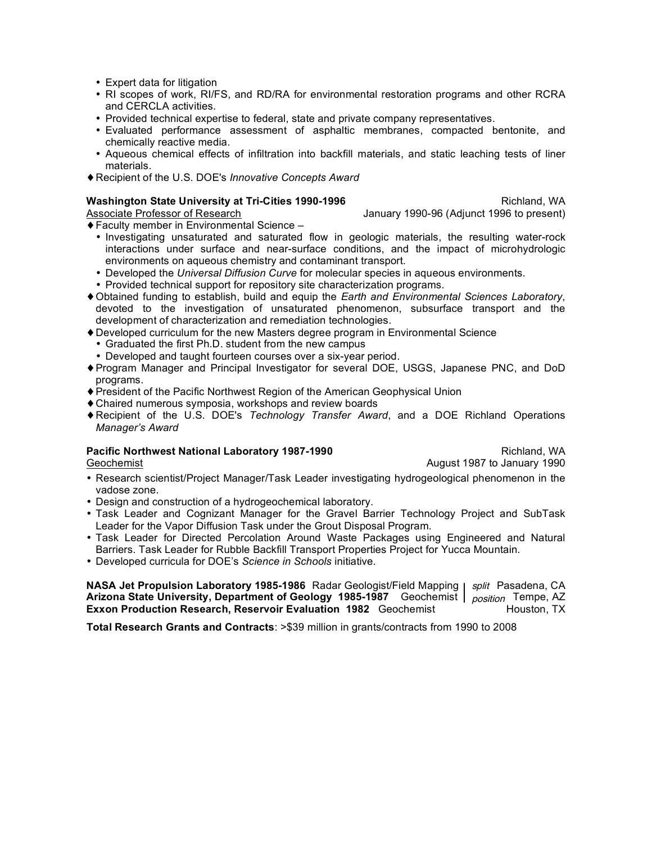- Expert data for litigation
- RI scopes of work, RI/FS, and RD/RA for environmental restoration programs and other RCRA and CERCLA activities.
- Provided technical expertise to federal, state and private company representatives.
- Evaluated performance assessment of asphaltic membranes, compacted bentonite, and chemically reactive media.
- Aqueous chemical effects of infiltration into backfill materials, and static leaching tests of liner materials.
- ♦Recipient of the U.S. DOE's *Innovative Concepts Award*

## **Washington State University at Tri-Cities 1990-1996 Richland, WA Richland, WA**

Associate Professor of Research January 1990-96 (Adjunct 1996 to present)

♦Faculty member in Environmental Science –

- Investigating unsaturated and saturated flow in geologic materials, the resulting water-rock interactions under surface and near-surface conditions, and the impact of microhydrologic environments on aqueous chemistry and contaminant transport.
- Developed the *Universal Diffusion Curve* for molecular species in aqueous environments.
- Provided technical support for repository site characterization programs.
- ♦Obtained funding to establish, build and equip the *Earth and Environmental Sciences Laboratory*, devoted to the investigation of unsaturated phenomenon, subsurface transport and the development of characterization and remediation technologies.
- ♦Developed curriculum for the new Masters degree program in Environmental Science
	- Graduated the first Ph.D. student from the new campus
	- Developed and taught fourteen courses over a six-year period.
- ♦Program Manager and Principal Investigator for several DOE, USGS, Japanese PNC, and DoD programs.
- ♦President of the Pacific Northwest Region of the American Geophysical Union
- ♦Chaired numerous symposia, workshops and review boards
- ♦Recipient of the U.S. DOE's *Technology Transfer Award*, and a DOE Richland Operations *Manager's Award*

# **Pacific Northwest National Laboratory 1987-1990 Richland, WA Richland, WA**

Geochemist **August 1987** to January 1990

- Research scientist/Project Manager/Task Leader investigating hydrogeological phenomenon in the vadose zone.
- Design and construction of a hydrogeochemical laboratory.
- Task Leader and Cognizant Manager for the Gravel Barrier Technology Project and SubTask Leader for the Vapor Diffusion Task under the Grout Disposal Program.
- Task Leader for Directed Percolation Around Waste Packages using Engineered and Natural Barriers. Task Leader for Rubble Backfill Transport Properties Project for Yucca Mountain.
- Developed curricula for DOE's *Science in Schools* initiative.

**NASA Jet Propulsion Laboratory 1985-1986** Radar Geologist/Field Mapping | *split* Pasadena, CA **Arizona State University, Department of Geology 1985-1987** Geochemist  $\mid$   $_{position}$  Tempe, AZ **Exxon Production Research, Reservoir Evaluation 1982** Geochemist Houston, TX

**Total Research Grants and Contracts**: >\$39 million in grants/contracts from 1990 to 2008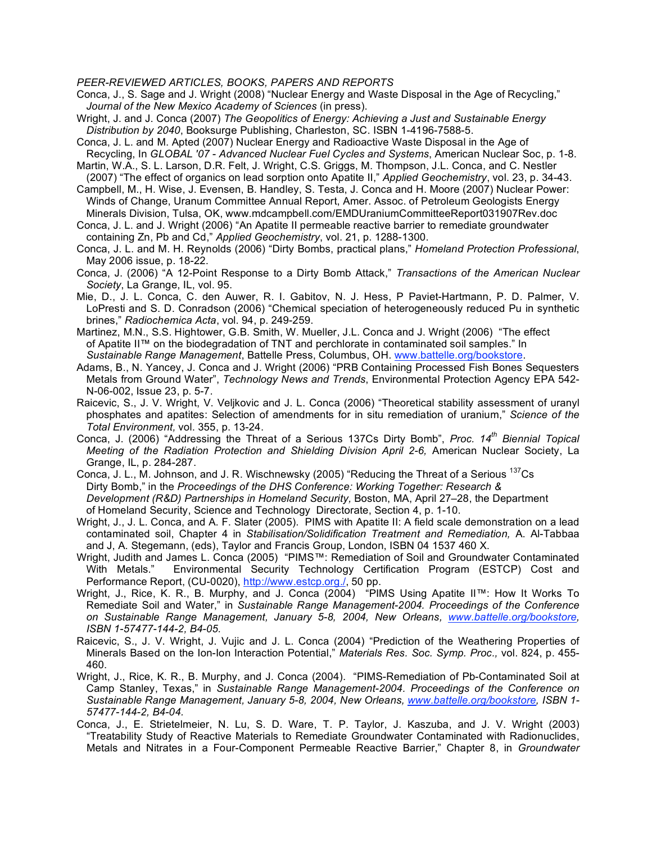#### *PEER-REVIEWED ARTICLES, BOOKS, PAPERS AND REPORTS*

Conca, J., S. Sage and J. Wright (2008) "Nuclear Energy and Waste Disposal in the Age of Recycling," *Journal of the New Mexico Academy of Sciences* (in press).

- Wright, J. and J. Conca (2007) *The Geopolitics of Energy: Achieving a Just and Sustainable Energy Distribution by 2040*, Booksurge Publishing, Charleston, SC. ISBN 1-4196-7588-5.
- Conca, J. L. and M. Apted (2007) Nuclear Energy and Radioactive Waste Disposal in the Age of Recycling, In *GLOBAL '07 - Advanced Nuclear Fuel Cycles and Systems*, American Nuclear Soc, p. 1-8.
- Martin, W.A., S. L. Larson, D.R. Felt, J. Wright, C.S. Griggs, M. Thompson, J.L. Conca, and C. Nestler (2007) "The effect of organics on lead sorption onto Apatite II," *Applied Geochemistry*, vol. 23, p. 34-43.
- Campbell, M., H. Wise, J. Evensen, B. Handley, S. Testa, J. Conca and H. Moore (2007) Nuclear Power: Winds of Change, Uranum Committee Annual Report, Amer. Assoc. of Petroleum Geologists Energy Minerals Division, Tulsa, OK, www.mdcampbell.com/EMDUraniumCommitteeReport031907Rev.doc
- Conca, J. L. and J. Wright (2006) "An Apatite II permeable reactive barrier to remediate groundwater containing Zn, Pb and Cd," *Applied Geochemistry*, vol. 21, p. 1288-1300.
- Conca, J. L. and M. H. Reynolds (2006) "Dirty Bombs, practical plans," *Homeland Protection Professional*, May 2006 issue, p. 18-22.
- Conca, J. (2006) "A 12-Point Response to a Dirty Bomb Attack," *Transactions of the American Nuclear Society*, La Grange, IL, vol. 95.
- Mie, D., J. L. Conca, C. den Auwer, R. I. Gabitov, N. J. Hess, P Paviet-Hartmann, P. D. Palmer, V. LoPresti and S. D. Conradson (2006) "Chemical speciation of heterogeneously reduced Pu in synthetic brines," *Radiochemica Acta*, vol. 94, p. 249-259.
- Martinez, M.N., S.S. Hightower, G.B. Smith, W. Mueller, J.L. Conca and J. Wright (2006) "The effect of Apatite II™ on the biodegradation of TNT and perchlorate in contaminated soil samples." In *Sustainable Range Management*, Battelle Press, Columbus, OH. www.battelle.org/bookstore.
- Adams, B., N. Yancey, J. Conca and J. Wright (2006) "PRB Containing Processed Fish Bones Sequesters Metals from Ground Water", *Technology News and Trends*, Environmental Protection Agency EPA 542- N-06-002, Issue 23, p. 5-7.
- Raicevic, S., J. V. Wright, V. Veljkovic and J. L. Conca (2006) "Theoretical stability assessment of uranyl phosphates and apatites: Selection of amendments for in situ remediation of uranium," *Science of the Total Environment,* vol. 355, p. 13-24.
- Conca, J. (2006) "Addressing the Threat of a Serious 137Cs Dirty Bomb", *Proc. 14th Biennial Topical Meeting of the Radiation Protection and Shielding Division April 2-6,* American Nuclear Society, La Grange, IL, p. 284-287.
- Conca, J. L., M. Johnson, and J. R. Wischnewsky (2005) "Reducing the Threat of a Serious <sup>137</sup>Cs Dirty Bomb," in the *Proceedings of the DHS Conference: Working Together: Research & Development (R&D) Partnerships in Homeland Security,* Boston, MA, April 27–28, the Department of Homeland Security, Science and Technology Directorate, Section 4, p. 1-10.
- Wright, J., J. L. Conca, and A. F. Slater (2005). PIMS with Apatite II: A field scale demonstration on a lead contaminated soil, Chapter 4 in *Stabilisation/Solidification Treatment and Remediation,* A. Al-Tabbaa and J, A. Stegemann, (eds), Taylor and Francis Group, London, ISBN 04 1537 460 X.
- Wright, Judith and James L. Conca (2005) "PIMS™: Remediation of Soil and Groundwater Contaminated With Metals." Environmental Security Technology Certification Program (ESTCP) Cost and Performance Report, (CU-0020), http://www.estcp.org./, 50 pp.
- Wright, J., Rice, K. R., B. Murphy, and J. Conca (2004) "PIMS Using Apatite II™: How It Works To Remediate Soil and Water," in *Sustainable Range Management-2004. Proceedings of the Conference on Sustainable Range Management, January 5-8, 2004, New Orleans, www.battelle.org/bookstore, ISBN 1-57477-144-2, B4-05.*
- Raicevic, S., J. V. Wright, J. Vujic and J. L. Conca (2004) "Prediction of the Weathering Properties of Minerals Based on the Ion-Ion Interaction Potential," *Materials Res. Soc. Symp. Proc.,* vol. 824, p. 455- 460.
- Wright, J., Rice, K. R., B. Murphy, and J. Conca (2004). "PIMS-Remediation of Pb-Contaminated Soil at Camp Stanley, Texas," in *Sustainable Range Management-2004. Proceedings of the Conference on Sustainable Range Management, January 5-8, 2004, New Orleans, www.battelle.org/bookstore, ISBN 1- 57477-144-2, B4-04.*
- Conca, J., E. Strietelmeier, N. Lu, S. D. Ware, T. P. Taylor, J. Kaszuba, and J. V. Wright (2003) "Treatability Study of Reactive Materials to Remediate Groundwater Contaminated with Radionuclides, Metals and Nitrates in a Four-Component Permeable Reactive Barrier," Chapter 8, in *Groundwater*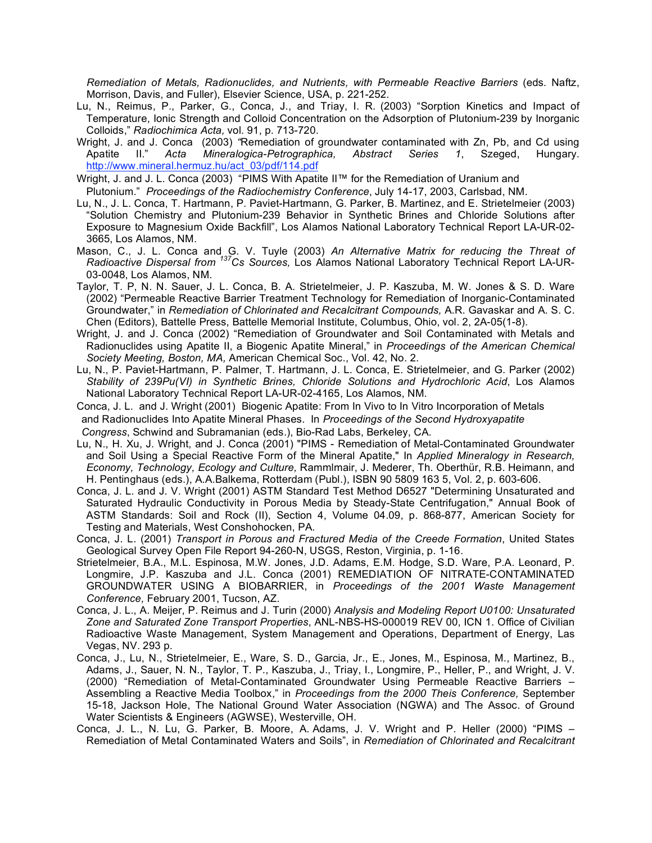*Remediation of Metals, Radionuclides, and Nutrients, with Permeable Reactive Barriers* (eds*.* Naftz, Morrison, Davis, and Fuller), Elsevier Science, USA, p. 221-252.

- Lu, N., Reimus, P., Parker, G., Conca, J., and Triay, I. R. (2003) "Sorption Kinetics and Impact of Temperature, Ionic Strength and Colloid Concentration on the Adsorption of Plutonium-239 by Inorganic Colloids," *Radiochimica Acta,* vol. 91, p. 713-720.
- Wright, J. and J. Conca (2003) *"*Remediation of groundwater contaminated with Zn, Pb, and Cd using Apatite II." *Acta Mineralogica-Petrographica, Abstract Series 1*, Szeged, Hungary. http://www.mineral.hermuz.hu/act\_03/pdf/114.pdf
- Wright, J. and J. L. Conca (2003) "PIMS With Apatite II™ for the Remediation of Uranium and Plutonium." *Proceedings of the Radiochemistry Conference*, July 14-17, 2003, Carlsbad, NM.
- Lu, N., J. L. Conca, T. Hartmann, P. Paviet-Hartmann, G. Parker, B. Martinez, and E. Strietelmeier (2003) "Solution Chemistry and Plutonium-239 Behavior in Synthetic Brines and Chloride Solutions after Exposure to Magnesium Oxide Backfill", Los Alamos National Laboratory Technical Report LA-UR-02- 3665, Los Alamos, NM.
- Mason, C., J. L. Conca and G. V. Tuyle (2003) *An Alternative Matrix for reducing the Threat of Radioactive Dispersal from 137Cs Sources,* Los Alamos National Laboratory Technical Report LA-UR-03-0048, Los Alamos, NM.
- Taylor, T. P, N. N. Sauer, J. L. Conca, B. A. Strietelmeier, J. P. Kaszuba, M. W. Jones & S. D. Ware (2002) "Permeable Reactive Barrier Treatment Technology for Remediation of Inorganic-Contaminated Groundwater," in *Remediation of Chlorinated and Recalcitrant Compounds,* A.R. Gavaskar and A. S. C. Chen (Editors), Battelle Press, Battelle Memorial Institute, Columbus, Ohio, vol. 2, 2A-05(1-8).
- Wright, J. and J. Conca (2002) "Remediation of Groundwater and Soil Contaminated with Metals and Radionuclides using Apatite II, a Biogenic Apatite Mineral," in *Proceedings of the American Chemical Society Meeting, Boston, MA,* American Chemical Soc., Vol. 42, No. 2.
- Lu, N., P. Paviet-Hartmann, P. Palmer, T. Hartmann, J. L. Conca, E. Strietelmeier, and G. Parker (2002) *Stability of 239Pu(VI) in Synthetic Brines, Chloride Solutions and Hydrochloric Acid*, Los Alamos National Laboratory Technical Report LA-UR-02-4165, Los Alamos, NM.
- Conca, J. L. and J. Wright (2001) Biogenic Apatite: From In Vivo to In Vitro Incorporation of Metals and Radionuclides Into Apatite Mineral Phases. In *Proceedings of the Second Hydroxyapatite Congress*, Schwind and Subramanian (eds.), Bio-Rad Labs, Berkeley, CA.
- Lu, N., H. Xu, J. Wright, and J. Conca (2001) "PIMS Remediation of Metal-Contaminated Groundwater and Soil Using a Special Reactive Form of the Mineral Apatite," In *Applied Mineralogy in Research, Economy, Technology, Ecology and Culture,* Rammlmair, J. Mederer, Th. Oberthür, R.B. Heimann, and H. Pentinghaus (eds.), A.A.Balkema, Rotterdam (Publ.), ISBN 90 5809 163 5, Vol. 2, p. 603-606.
- Conca, J. L. and J. V. Wright (2001) ASTM Standard Test Method D6527 "Determining Unsaturated and Saturated Hydraulic Conductivity in Porous Media by Steady-State Centrifugation," Annual Book of ASTM Standards: Soil and Rock (II), Section 4, Volume 04.09, p. 868-877, American Society for Testing and Materials, West Conshohocken, PA.
- Conca, J. L. (2001) *Transport in Porous and Fractured Media of the Creede Formation*, United States Geological Survey Open File Report 94-260-N, USGS, Reston, Virginia, p. 1-16.
- Strietelmeier, B.A., M.L. Espinosa, M.W. Jones, J.D. Adams, E.M. Hodge, S.D. Ware, P.A. Leonard, P. Longmire, J.P. Kaszuba and J.L. Conca (2001) REMEDIATION OF NITRATE-CONTAMINATED GROUNDWATER USING A BIOBARRIER, in *Proceedings of the 2001 Waste Management Conference,* February 2001, Tucson, AZ.
- Conca, J. L., A. Meijer, P. Reimus and J. Turin (2000) *Analysis and Modeling Report U0100: Unsaturated Zone and Saturated Zone Transport Properties*, ANL-NBS-HS-000019 REV 00, ICN 1. Office of Civilian Radioactive Waste Management, System Management and Operations, Department of Energy, Las Vegas, NV. 293 p.
- Conca, J., Lu, N., Strietelmeier, E., Ware, S. D., Garcia, Jr., E., Jones, M., Espinosa, M., Martinez, B., Adams, J., Sauer, N. N., Taylor, T. P., Kaszuba, J., Triay, I., Longmire, P., Heller, P., and Wright, J. V. (2000) "Remediation of Metal-Contaminated Groundwater Using Permeable Reactive Barriers – Assembling a Reactive Media Toolbox," in *Proceedings from the 2000 Theis Conference,* September 15-18, Jackson Hole, The National Ground Water Association (NGWA) and The Assoc. of Ground Water Scientists & Engineers (AGWSE), Westerville, OH.
- Conca, J. L., N. Lu, G. Parker, B. Moore, A. Adams, J. V. Wright and P. Heller (2000) "PIMS Remediation of Metal Contaminated Waters and Soils", in *Remediation of Chlorinated and Recalcitrant*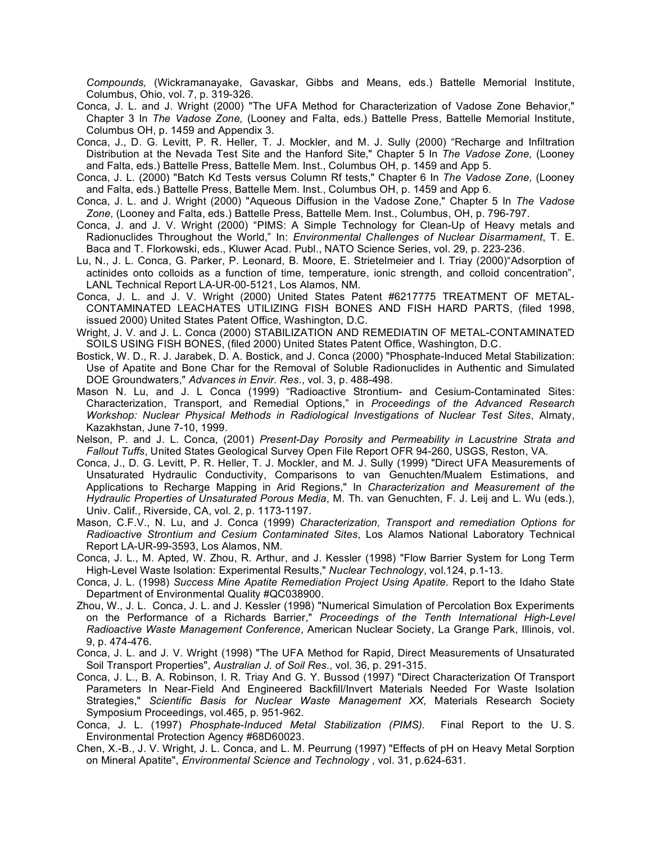*Compounds,* (Wickramanayake, Gavaskar, Gibbs and Means, eds.) Battelle Memorial Institute, Columbus, Ohio, vol. 7, p. 319-326.

- Conca, J. L. and J. Wright (2000) "The UFA Method for Characterization of Vadose Zone Behavior," Chapter 3 In *The Vadose Zone,* (Looney and Falta, eds.) Battelle Press, Battelle Memorial Institute, Columbus OH, p. 1459 and Appendix 3.
- Conca, J., D. G. Levitt, P. R. Heller, T. J. Mockler, and M. J. Sully (2000) "Recharge and Infiltration Distribution at the Nevada Test Site and the Hanford Site," Chapter 5 In *The Vadose Zone,* (Looney and Falta, eds.) Battelle Press, Battelle Mem. Inst., Columbus OH, p. 1459 and App 5.
- Conca, J. L. (2000) "Batch Kd Tests versus Column Rf tests," Chapter 6 In *The Vadose Zone,* (Looney and Falta, eds.) Battelle Press, Battelle Mem. Inst., Columbus OH, p. 1459 and App 6.
- Conca, J. L. and J. Wright (2000) "Aqueous Diffusion in the Vadose Zone," Chapter 5 In *The Vadose Zone,* (Looney and Falta, eds.) Battelle Press, Battelle Mem. Inst., Columbus, OH, p. 796-797.
- Conca, J. and J. V. Wright (2000) "PIMS: A Simple Technology for Clean-Up of Heavy metals and Radionuclides Throughout the World," In: *Environmental Challenges of Nuclear Disarmament*, T. E. Baca and T. Florkowski, eds., Kluwer Acad. Publ., NATO Science Series, vol. 29, p. 223-236.
- Lu, N., J. L. Conca, G. Parker, P. Leonard, B. Moore, E. Strietelmeier and I. Triay (2000)"Adsorption of actinides onto colloids as a function of time, temperature, ionic strength, and colloid concentration", LANL Technical Report LA-UR-00-5121, Los Alamos, NM.
- Conca, J. L. and J. V. Wright (2000) United States Patent #6217775 TREATMENT OF METAL-CONTAMINATED LEACHATES UTILIZING FISH BONES AND FISH HARD PARTS, (filed 1998, issued 2000) United States Patent Office, Washington, D.C.
- Wright, J. V. and J. L. Conca (2000) STABILIZATION AND REMEDIATIN OF METAL-CONTAMINATED SOILS USING FISH BONES, (filed 2000) United States Patent Office, Washington, D.C.
- Bostick, W. D., R. J. Jarabek, D. A. Bostick, and J. Conca (2000) "Phosphate-Induced Metal Stabilization: Use of Apatite and Bone Char for the Removal of Soluble Radionuclides in Authentic and Simulated DOE Groundwaters," *Advances in Envir. Res.*, vol. 3, p. 488-498.
- Mason N. Lu, and J. L Conca (1999) "Radioactive Strontium- and Cesium-Contaminated Sites: Characterization, Transport, and Remedial Options," in *Proceedings of the Advanced Research Workshop: Nuclear Physical Methods in Radiological Investigations of Nuclear Test Sites*, Almaty, Kazakhstan, June 7-10, 1999.
- Nelson, P. and J. L. Conca, (2001) *Present-Day Porosity and Permeability in Lacustrine Strata and Fallout Tuffs*, United States Geological Survey Open File Report OFR 94-260, USGS, Reston, VA.
- Conca, J., D. G. Levitt, P. R. Heller, T. J. Mockler, and M. J. Sully (1999) "Direct UFA Measurements of Unsaturated Hydraulic Conductivity, Comparisons to van Genuchten/Mualem Estimations, and Applications to Recharge Mapping in Arid Regions," In *Characterization and Measurement of the Hydraulic Properties of Unsaturated Porous Media*, M. Th. van Genuchten, F. J. Leij and L. Wu (eds.), Univ. Calif., Riverside, CA, vol. 2, p. 1173-1197.
- Mason, C.F.V., N. Lu, and J. Conca (1999) *Characterization, Transport and remediation Options for Radioactive Strontium and Cesium Contaminated Sites*, Los Alamos National Laboratory Technical Report LA-UR-99-3593, Los Alamos, NM.
- Conca, J. L., M. Apted, W. Zhou, R. Arthur, and J. Kessler (1998) "Flow Barrier System for Long Term High-Level Waste Isolation: Experimental Results," *Nuclear Technology*, vol.124, p.1-13.
- Conca, J. L. (1998) *Success Mine Apatite Remediation Project Using Apatite.* Report to the Idaho State Department of Environmental Quality #QC038900.
- Zhou, W., J. L. Conca, J. L. and J. Kessler (1998) "Numerical Simulation of Percolation Box Experiments on the Performance of a Richards Barrier," *Proceedings of the Tenth International High-Level Radioactive Waste Management Conference*, American Nuclear Society, La Grange Park, Illinois, vol. 9, p. 474-476.
- Conca, J. L. and J. V. Wright (1998) "The UFA Method for Rapid, Direct Measurements of Unsaturated Soil Transport Properties", *Australian J. of Soil Res.*, vol. 36, p. 291-315.
- Conca, J. L., B. A. Robinson, I. R. Triay And G. Y. Bussod (1997) "Direct Characterization Of Transport Parameters In Near-Field And Engineered Backfill/Invert Materials Needed For Waste Isolation Strategies," *Scientific Basis for Nuclear Waste Management XX*, Materials Research Society Symposium Proceedings, vol.465, p. 951-962.
- Conca, J. L. (1997) *Phosphate-Induced Metal Stabilization (PIMS).* Final Report to the U. S. Environmental Protection Agency #68D60023.
- Chen, X.-B., J. V. Wright, J. L. Conca, and L. M. Peurrung (1997) "Effects of pH on Heavy Metal Sorption on Mineral Apatite", *Environmental Science and Technology ,* vol. 31, p.624-631.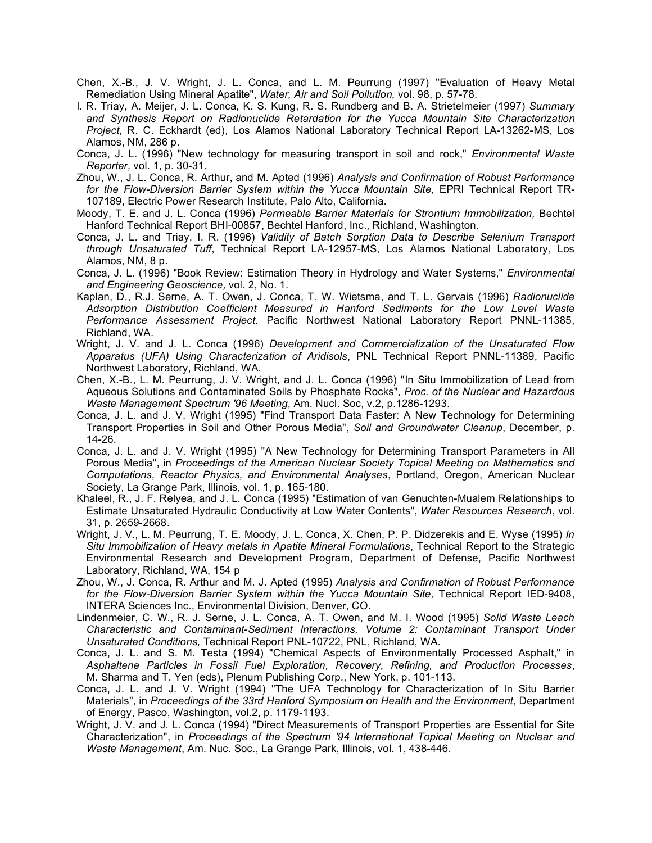- Chen, X.-B., J. V. Wright, J. L. Conca, and L. M. Peurrung (1997) "Evaluation of Heavy Metal Remediation Using Mineral Apatite", *Water, Air and Soil Pollution,* vol. 98, p. 57-78.
- I. R. Triay, A. Meijer, J. L. Conca, K. S. Kung, R. S. Rundberg and B. A. Strietelmeier (1997) *Summary and Synthesis Report on Radionuclide Retardation for the Yucca Mountain Site Characterization Project*, R. C. Eckhardt (ed), Los Alamos National Laboratory Technical Report LA-13262-MS, Los Alamos, NM, 286 p.
- Conca, J. L. (1996) "New technology for measuring transport in soil and rock," *Environmental Waste Reporter,* vol. 1, p. 30-31.
- Zhou, W., J. L. Conca, R. Arthur, and M. Apted (1996) *Analysis and Confirmation of Robust Performance for the Flow-Diversion Barrier System within the Yucca Mountain Site,* EPRI Technical Report TR-107189, Electric Power Research Institute, Palo Alto, California.
- Moody, T. E. and J. L. Conca (1996) *Permeable Barrier Materials for Strontium Immobilization,* Bechtel Hanford Technical Report BHI-00857, Bechtel Hanford, Inc., Richland, Washington.
- Conca, J. L. and Triay, I. R. (1996) *Validity of Batch Sorption Data to Describe Selenium Transport through Unsaturated Tuff*, Technical Report LA-12957-MS, Los Alamos National Laboratory, Los Alamos, NM, 8 p.
- Conca, J. L. (1996) "Book Review: Estimation Theory in Hydrology and Water Systems," *Environmental and Engineering Geoscience,* vol. 2, No. 1.
- Kaplan, D., R.J. Serne, A. T. Owen, J. Conca, T. W. Wietsma, and T. L. Gervais (1996) *Radionuclide Adsorption Distribution Coefficient Measured in Hanford Sediments for the Low Level Waste Performance Assessment Project.* Pacific Northwest National Laboratory Report PNNL-11385, Richland, WA.
- Wright, J. V. and J. L. Conca (1996) *Development and Commercialization of the Unsaturated Flow Apparatus (UFA) Using Characterization of Aridisols*, PNL Technical Report PNNL-11389, Pacific Northwest Laboratory, Richland, WA.
- Chen, X.-B., L. M. Peurrung, J. V. Wright, and J. L. Conca (1996) "In Situ Immobilization of Lead from Aqueous Solutions and Contaminated Soils by Phosphate Rocks", *Proc. of the Nuclear and Hazardous Waste Management Spectrum '96 Meeting*, Am. Nucl. Soc, v.2, p.1286-1293.
- Conca, J. L. and J. V. Wright (1995) "Find Transport Data Faster: A New Technology for Determining Transport Properties in Soil and Other Porous Media", *Soil and Groundwater Cleanup*, December, p. 14-26.
- Conca, J. L. and J. V. Wright (1995) "A New Technology for Determining Transport Parameters in All Porous Media", in *Proceedings of the American Nuclear Society Topical Meeting on Mathematics and Computations, Reactor Physics, and Environmental Analyses*, Portland, Oregon, American Nuclear Society, La Grange Park, Illinois, vol. 1, p. 165-180.
- Khaleel, R., J. F. Relyea, and J. L. Conca (1995) "Estimation of van Genuchten-Mualem Relationships to Estimate Unsaturated Hydraulic Conductivity at Low Water Contents", *Water Resources Research*, vol. 31, p. 2659-2668.
- Wright, J. V., L. M. Peurrung, T. E. Moody, J. L. Conca, X. Chen, P. P. Didzerekis and E. Wyse (1995) *In Situ Immobilization of Heavy metals in Apatite Mineral Formulations*, Technical Report to the Strategic Environmental Research and Development Program, Department of Defense, Pacific Northwest Laboratory, Richland, WA, 154 p
- Zhou, W., J. Conca, R. Arthur and M. J. Apted (1995) *Analysis and Confirmation of Robust Performance for the Flow-Diversion Barrier System within the Yucca Mountain Site,* Technical Report IED-9408, INTERA Sciences Inc., Environmental Division, Denver, CO.
- Lindenmeier, C. W., R. J. Serne, J. L. Conca, A. T. Owen, and M. I. Wood (1995) *Solid Waste Leach Characteristic and Contaminant-Sediment Interactions, Volume 2: Contaminant Transport Under Unsaturated Conditions,* Technical Report PNL-10722, PNL, Richland, WA.
- Conca, J. L. and S. M. Testa (1994) "Chemical Aspects of Environmentally Processed Asphalt," in *Asphaltene Particles in Fossil Fuel Exploration, Recovery, Refining, and Production Processes*, M. Sharma and T. Yen (eds), Plenum Publishing Corp., New York, p. 101-113.
- Conca, J. L. and J. V. Wright (1994) "The UFA Technology for Characterization of In Situ Barrier Materials", in *Proceedings of the 33rd Hanford Symposium on Health and the Environment*, Department of Energy, Pasco, Washington, vol.2, p. 1179-1193.
- Wright, J. V. and J. L. Conca (1994) "Direct Measurements of Transport Properties are Essential for Site Characterization", in *Proceedings of the Spectrum '94 International Topical Meeting on Nuclear and Waste Management*, Am. Nuc. Soc., La Grange Park, Illinois, vol. 1, 438-446.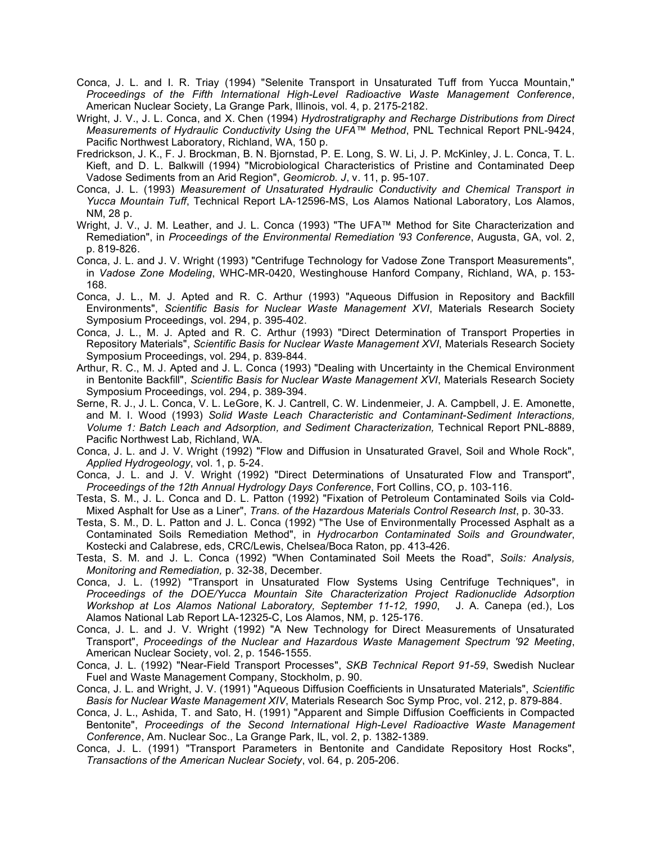- Conca, J. L. and I. R. Triay (1994) "Selenite Transport in Unsaturated Tuff from Yucca Mountain," *Proceedings of the Fifth International High-Level Radioactive Waste Management Conference*, American Nuclear Society, La Grange Park, Illinois, vol. 4, p. 2175-2182.
- Wright, J. V., J. L. Conca, and X. Chen (1994) *Hydrostratigraphy and Recharge Distributions from Direct Measurements of Hydraulic Conductivity Using the UFA™ Method*, PNL Technical Report PNL-9424, Pacific Northwest Laboratory, Richland, WA, 150 p.
- Fredrickson, J. K., F. J. Brockman, B. N. Bjornstad, P. E. Long, S. W. Li, J. P. McKinley, J. L. Conca, T. L. Kieft, and D. L. Balkwill (1994) "Microbiological Characteristics of Pristine and Contaminated Deep Vadose Sediments from an Arid Region", *Geomicrob. J*, v. 11, p. 95-107.
- Conca, J. L. (1993) *Measurement of Unsaturated Hydraulic Conductivity and Chemical Transport in Yucca Mountain Tuff*, Technical Report LA-12596-MS, Los Alamos National Laboratory, Los Alamos, NM, 28 p.
- Wright, J. V., J. M. Leather, and J. L. Conca (1993) "The UFA™ Method for Site Characterization and Remediation", in *Proceedings of the Environmental Remediation '93 Conference*, Augusta, GA, vol. 2, p. 819-826.
- Conca, J. L. and J. V. Wright (1993) "Centrifuge Technology for Vadose Zone Transport Measurements", in *Vadose Zone Modeling*, WHC-MR-0420, Westinghouse Hanford Company, Richland, WA, p. 153- 168.
- Conca, J. L., M. J. Apted and R. C. Arthur (1993) "Aqueous Diffusion in Repository and Backfill Environments", *Scientific Basis for Nuclear Waste Management XVI*, Materials Research Society Symposium Proceedings, vol. 294, p. 395-402.
- Conca, J. L., M. J. Apted and R. C. Arthur (1993) "Direct Determination of Transport Properties in Repository Materials", *Scientific Basis for Nuclear Waste Management XVI*, Materials Research Society Symposium Proceedings, vol. 294, p. 839-844.
- Arthur, R. C., M. J. Apted and J. L. Conca (1993) "Dealing with Uncertainty in the Chemical Environment in Bentonite Backfill", *Scientific Basis for Nuclear Waste Management XVI*, Materials Research Society Symposium Proceedings, vol. 294, p. 389-394.
- Serne, R. J., J. L. Conca, V. L. LeGore, K. J. Cantrell, C. W. Lindenmeier, J. A. Campbell, J. E. Amonette, and M. I. Wood (1993) *Solid Waste Leach Characteristic and Contaminant-Sediment Interactions, Volume 1: Batch Leach and Adsorption, and Sediment Characterization,* Technical Report PNL-8889, Pacific Northwest Lab, Richland, WA.
- Conca, J. L. and J. V. Wright (1992) "Flow and Diffusion in Unsaturated Gravel, Soil and Whole Rock", *Applied Hydrogeology*, vol. 1, p. 5-24.
- Conca, J. L. and J. V. Wright (1992) "Direct Determinations of Unsaturated Flow and Transport", *Proceedings of the 12th Annual Hydrology Days Conference*, Fort Collins, CO, p. 103-116.
- Testa, S. M., J. L. Conca and D. L. Patton (1992) "Fixation of Petroleum Contaminated Soils via Cold-Mixed Asphalt for Use as a Liner", *Trans. of the Hazardous Materials Control Research Inst*, p. 30-33.
- Testa, S. M., D. L. Patton and J. L. Conca (1992) "The Use of Environmentally Processed Asphalt as a Contaminated Soils Remediation Method", in *Hydrocarbon Contaminated Soils and Groundwater*, Kostecki and Calabrese, eds, CRC/Lewis, Chelsea/Boca Raton, pp. 413-426.
- Testa, S. M. and J. L. Conca (1992) "When Contaminated Soil Meets the Road", *Soils: Analysis, Monitoring and Remediation,* p. 32-38, December.
- Conca, J. L. (1992) "Transport in Unsaturated Flow Systems Using Centrifuge Techniques", in *Proceedings of the DOE/Yucca Mountain Site Characterization Project Radionuclide Adsorption Workshop at Los Alamos National Laboratory, September 11-12, 1990*, J. A. Canepa (ed.), Los Alamos National Lab Report LA-12325-C, Los Alamos, NM, p. 125-176.
- Conca, J. L. and J. V. Wright (1992) "A New Technology for Direct Measurements of Unsaturated Transport", *Proceedings of the Nuclear and Hazardous Waste Management Spectrum '92 Meeting*, American Nuclear Society, vol. 2, p. 1546-1555.
- Conca, J. L. (1992) "Near-Field Transport Processes", *SKB Technical Report 91-59*, Swedish Nuclear Fuel and Waste Management Company, Stockholm, p. 90.
- Conca, J. L. and Wright, J. V. (1991) "Aqueous Diffusion Coefficients in Unsaturated Materials", *Scientific Basis for Nuclear Waste Management XIV*, Materials Research Soc Symp Proc, vol. 212, p. 879-884.
- Conca, J. L., Ashida, T. and Sato, H. (1991) "Apparent and Simple Diffusion Coefficients in Compacted Bentonite", *Proceedings of the Second International High-Level Radioactive Waste Management Conference*, Am. Nuclear Soc., La Grange Park, IL, vol. 2, p. 1382-1389.
- Conca, J. L. (1991) "Transport Parameters in Bentonite and Candidate Repository Host Rocks", *Transactions of the American Nuclear Society*, vol. 64, p. 205-206.